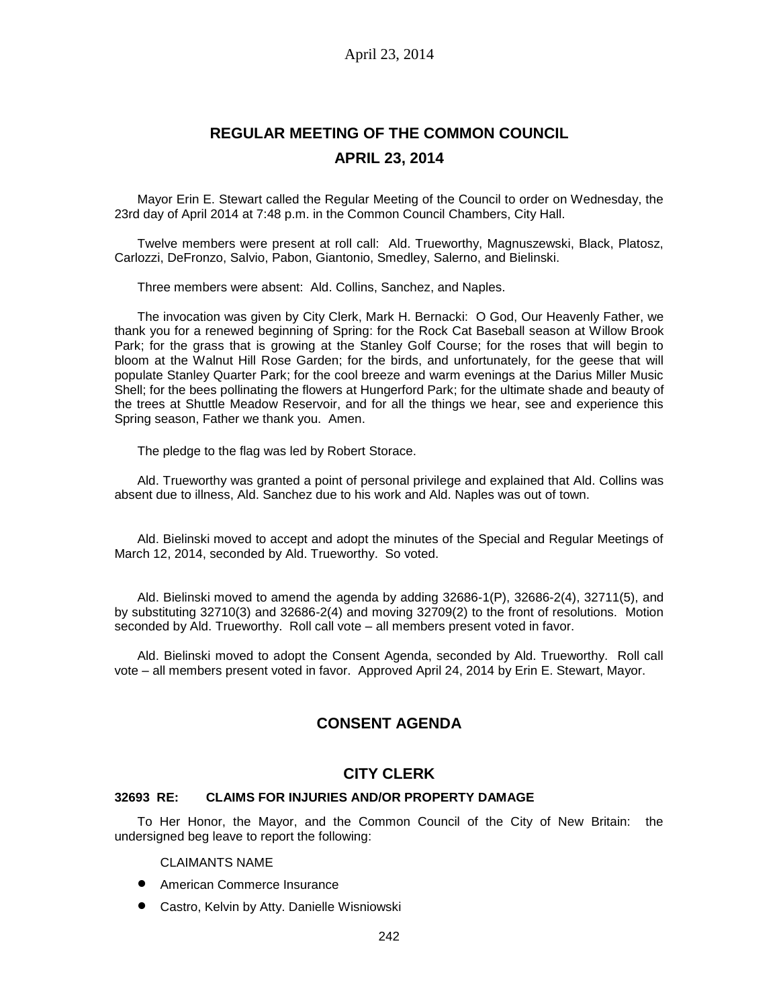# **REGULAR MEETING OF THE COMMON COUNCIL APRIL 23, 2014**

Mayor Erin E. Stewart called the Regular Meeting of the Council to order on Wednesday, the 23rd day of April 2014 at 7:48 p.m. in the Common Council Chambers, City Hall.

Twelve members were present at roll call: Ald. Trueworthy, Magnuszewski, Black, Platosz, Carlozzi, DeFronzo, Salvio, Pabon, Giantonio, Smedley, Salerno, and Bielinski.

Three members were absent: Ald. Collins, Sanchez, and Naples.

The invocation was given by City Clerk, Mark H. Bernacki: O God, Our Heavenly Father, we thank you for a renewed beginning of Spring: for the Rock Cat Baseball season at Willow Brook Park; for the grass that is growing at the Stanley Golf Course; for the roses that will begin to bloom at the Walnut Hill Rose Garden; for the birds, and unfortunately, for the geese that will populate Stanley Quarter Park; for the cool breeze and warm evenings at the Darius Miller Music Shell; for the bees pollinating the flowers at Hungerford Park; for the ultimate shade and beauty of the trees at Shuttle Meadow Reservoir, and for all the things we hear, see and experience this Spring season, Father we thank you. Amen.

The pledge to the flag was led by Robert Storace.

Ald. Trueworthy was granted a point of personal privilege and explained that Ald. Collins was absent due to illness, Ald. Sanchez due to his work and Ald. Naples was out of town.

Ald. Bielinski moved to accept and adopt the minutes of the Special and Regular Meetings of March 12, 2014, seconded by Ald. Trueworthy. So voted.

Ald. Bielinski moved to amend the agenda by adding 32686-1(P), 32686-2(4), 32711(5), and by substituting 32710(3) and 32686-2(4) and moving 32709(2) to the front of resolutions. Motion seconded by Ald. Trueworthy. Roll call vote – all members present voted in favor.

Ald. Bielinski moved to adopt the Consent Agenda, seconded by Ald. Trueworthy. Roll call vote – all members present voted in favor. Approved April 24, 2014 by Erin E. Stewart, Mayor.

# **CONSENT AGENDA**

# **CITY CLERK**

#### **32693 RE: CLAIMS FOR INJURIES AND/OR PROPERTY DAMAGE**

To Her Honor, the Mayor, and the Common Council of the City of New Britain: the undersigned beg leave to report the following:

CLAIMANTS NAME

- **•** American Commerce Insurance
- Castro, Kelvin by Atty. Danielle Wisniowski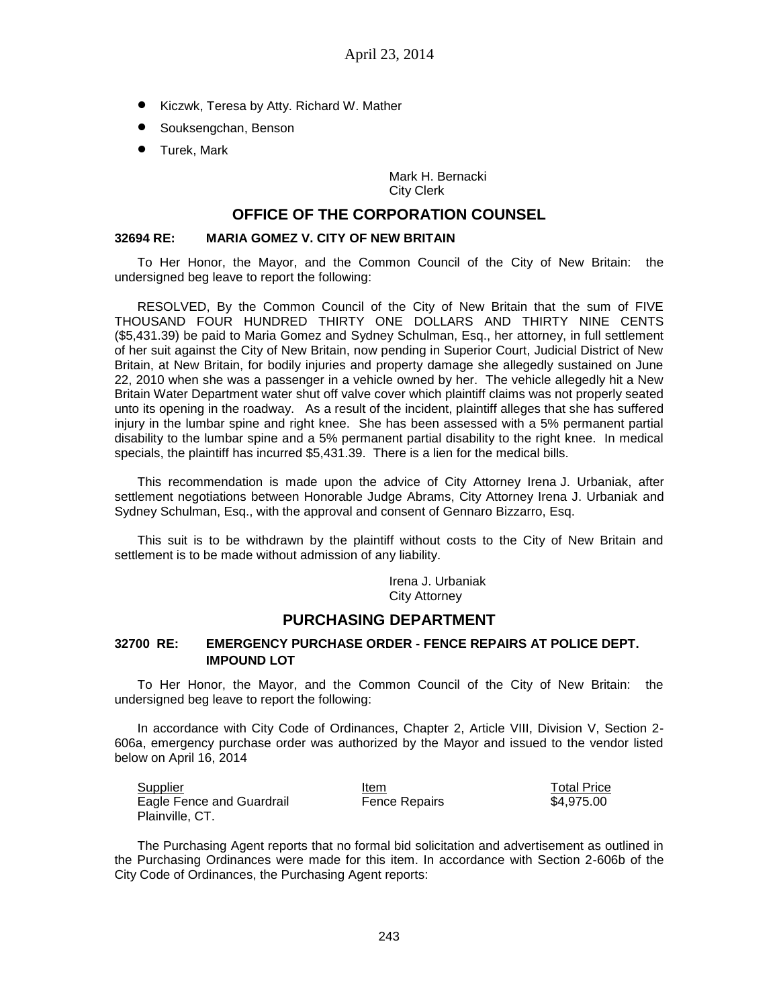- Kiczwk, Teresa by Atty. Richard W. Mather
- **•** Souksengchan, Benson
- **•** Turek, Mark

Mark H. Bernacki City Clerk

# **OFFICE OF THE CORPORATION COUNSEL**

#### **32694 RE: MARIA GOMEZ V. CITY OF NEW BRITAIN**

To Her Honor, the Mayor, and the Common Council of the City of New Britain: the undersigned beg leave to report the following:

RESOLVED, By the Common Council of the City of New Britain that the sum of FIVE THOUSAND FOUR HUNDRED THIRTY ONE DOLLARS AND THIRTY NINE CENTS (\$5,431.39) be paid to Maria Gomez and Sydney Schulman, Esq., her attorney, in full settlement of her suit against the City of New Britain, now pending in Superior Court, Judicial District of New Britain, at New Britain, for bodily injuries and property damage she allegedly sustained on June 22, 2010 when she was a passenger in a vehicle owned by her. The vehicle allegedly hit a New Britain Water Department water shut off valve cover which plaintiff claims was not properly seated unto its opening in the roadway. As a result of the incident, plaintiff alleges that she has suffered injury in the lumbar spine and right knee. She has been assessed with a 5% permanent partial disability to the lumbar spine and a 5% permanent partial disability to the right knee. In medical specials, the plaintiff has incurred \$5,431.39. There is a lien for the medical bills.

This recommendation is made upon the advice of City Attorney Irena J. Urbaniak, after settlement negotiations between Honorable Judge Abrams, City Attorney Irena J. Urbaniak and Sydney Schulman, Esq., with the approval and consent of Gennaro Bizzarro, Esq.

This suit is to be withdrawn by the plaintiff without costs to the City of New Britain and settlement is to be made without admission of any liability.

Irena J. Urbaniak

City Attorney

# **PURCHASING DEPARTMENT**

# **32700 RE: EMERGENCY PURCHASE ORDER - FENCE REPAIRS AT POLICE DEPT. IMPOUND LOT**

To Her Honor, the Mayor, and the Common Council of the City of New Britain: the undersigned beg leave to report the following:

In accordance with City Code of Ordinances, Chapter 2, Article VIII, Division V, Section 2- 606a, emergency purchase order was authorized by the Mayor and issued to the vendor listed below on April 16, 2014

| Supplier                  | Item                 | <b>Total Price</b> |
|---------------------------|----------------------|--------------------|
| Eagle Fence and Guardrail | <b>Fence Repairs</b> | \$4.975.00         |
| Plainville, CT.           |                      |                    |

The Purchasing Agent reports that no formal bid solicitation and advertisement as outlined in the Purchasing Ordinances were made for this item. In accordance with Section 2-606b of the City Code of Ordinances, the Purchasing Agent reports: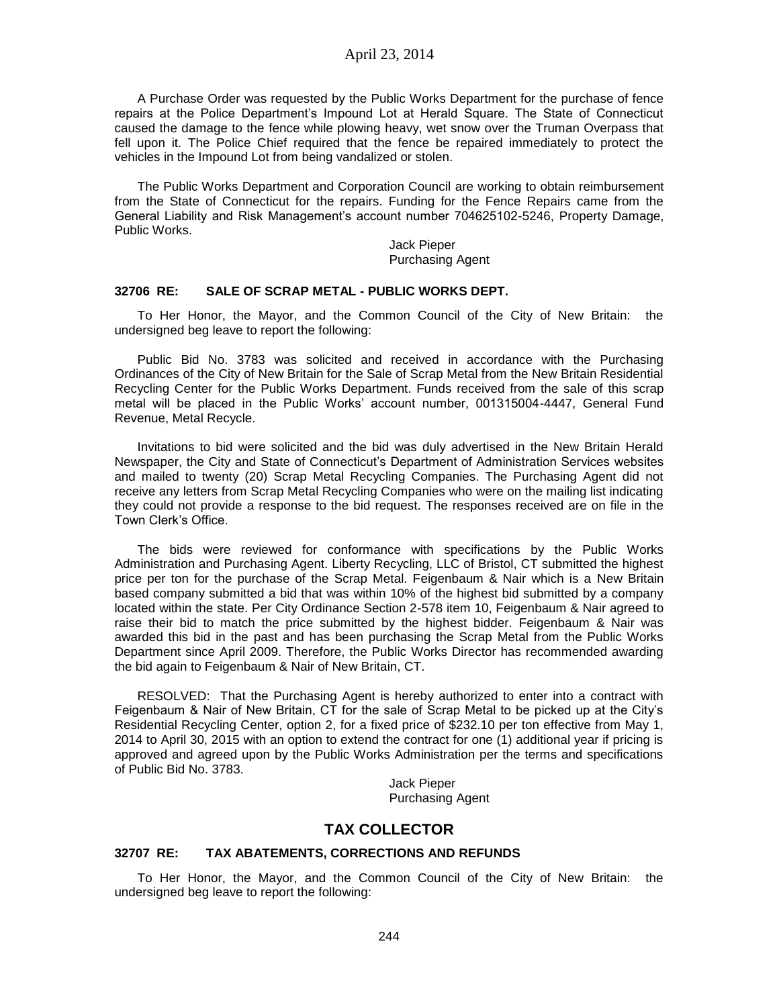A Purchase Order was requested by the Public Works Department for the purchase of fence repairs at the Police Department's Impound Lot at Herald Square. The State of Connecticut caused the damage to the fence while plowing heavy, wet snow over the Truman Overpass that fell upon it. The Police Chief required that the fence be repaired immediately to protect the vehicles in the Impound Lot from being vandalized or stolen.

The Public Works Department and Corporation Council are working to obtain reimbursement from the State of Connecticut for the repairs. Funding for the Fence Repairs came from the General Liability and Risk Management's account number 704625102-5246, Property Damage, Public Works.

> Jack Pieper Purchasing Agent

#### **32706 RE: SALE OF SCRAP METAL - PUBLIC WORKS DEPT.**

To Her Honor, the Mayor, and the Common Council of the City of New Britain: the undersigned beg leave to report the following:

Public Bid No. 3783 was solicited and received in accordance with the Purchasing Ordinances of the City of New Britain for the Sale of Scrap Metal from the New Britain Residential Recycling Center for the Public Works Department. Funds received from the sale of this scrap metal will be placed in the Public Works' account number, 001315004-4447, General Fund Revenue, Metal Recycle.

Invitations to bid were solicited and the bid was duly advertised in the New Britain Herald Newspaper, the City and State of Connecticut's Department of Administration Services websites and mailed to twenty (20) Scrap Metal Recycling Companies. The Purchasing Agent did not receive any letters from Scrap Metal Recycling Companies who were on the mailing list indicating they could not provide a response to the bid request. The responses received are on file in the Town Clerk's Office.

The bids were reviewed for conformance with specifications by the Public Works Administration and Purchasing Agent. Liberty Recycling, LLC of Bristol, CT submitted the highest price per ton for the purchase of the Scrap Metal. Feigenbaum & Nair which is a New Britain based company submitted a bid that was within 10% of the highest bid submitted by a company located within the state. Per City Ordinance Section 2-578 item 10, Feigenbaum & Nair agreed to raise their bid to match the price submitted by the highest bidder. Feigenbaum & Nair was awarded this bid in the past and has been purchasing the Scrap Metal from the Public Works Department since April 2009. Therefore, the Public Works Director has recommended awarding the bid again to Feigenbaum & Nair of New Britain, CT.

RESOLVED: That the Purchasing Agent is hereby authorized to enter into a contract with Feigenbaum & Nair of New Britain, CT for the sale of Scrap Metal to be picked up at the City's Residential Recycling Center, option 2, for a fixed price of \$232.10 per ton effective from May 1, 2014 to April 30, 2015 with an option to extend the contract for one (1) additional year if pricing is approved and agreed upon by the Public Works Administration per the terms and specifications of Public Bid No. 3783.

> Jack Pieper Purchasing Agent

# **TAX COLLECTOR**

#### **32707 RE: TAX ABATEMENTS, CORRECTIONS AND REFUNDS**

To Her Honor, the Mayor, and the Common Council of the City of New Britain: the undersigned beg leave to report the following: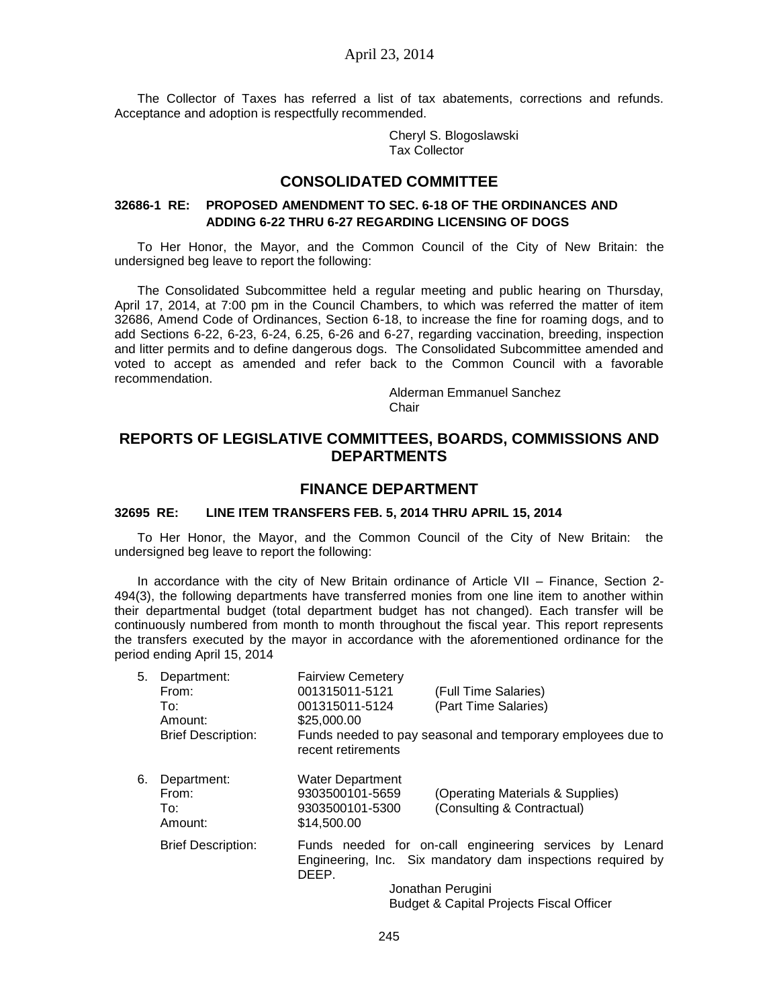The Collector of Taxes has referred a list of tax abatements, corrections and refunds. Acceptance and adoption is respectfully recommended.

> Cheryl S. Blogoslawski Tax Collector

# **CONSOLIDATED COMMITTEE**

#### **32686-1 RE: PROPOSED AMENDMENT TO SEC. 6-18 OF THE ORDINANCES AND ADDING 6-22 THRU 6-27 REGARDING LICENSING OF DOGS**

To Her Honor, the Mayor, and the Common Council of the City of New Britain: the undersigned beg leave to report the following:

The Consolidated Subcommittee held a regular meeting and public hearing on Thursday, April 17, 2014, at 7:00 pm in the Council Chambers, to which was referred the matter of item 32686, Amend Code of Ordinances, Section 6-18, to increase the fine for roaming dogs, and to add Sections 6-22, 6-23, 6-24, 6.25, 6-26 and 6-27, regarding vaccination, breeding, inspection and litter permits and to define dangerous dogs. The Consolidated Subcommittee amended and voted to accept as amended and refer back to the Common Council with a favorable recommendation.

> Alderman Emmanuel Sanchez Chair

# **REPORTS OF LEGISLATIVE COMMITTEES, BOARDS, COMMISSIONS AND DEPARTMENTS**

## **FINANCE DEPARTMENT**

#### **32695 RE: LINE ITEM TRANSFERS FEB. 5, 2014 THRU APRIL 15, 2014**

To Her Honor, the Mayor, and the Common Council of the City of New Britain: the undersigned beg leave to report the following:

In accordance with the city of New Britain ordinance of Article VII – Finance, Section 2- 494(3), the following departments have transferred monies from one line item to another within their departmental budget (total department budget has not changed). Each transfer will be continuously numbered from month to month throughout the fiscal year. This report represents the transfers executed by the mayor in accordance with the aforementioned ordinance for the period ending April 15, 2014

| 5. | Department:               | <b>Fairview Cemetery</b>                                                          |  |
|----|---------------------------|-----------------------------------------------------------------------------------|--|
|    | From:                     | 001315011-5121<br>(Full Time Salaries)                                            |  |
|    | To:                       | (Part Time Salaries)<br>001315011-5124                                            |  |
|    | Amount:                   | \$25,000,00                                                                       |  |
|    | <b>Brief Description:</b> | Funds needed to pay seasonal and temporary employees due to<br>recent retirements |  |
| 6. | Department:               | <b>Water Department</b>                                                           |  |
|    | From:                     | 9303500101-5659<br>(Operating Materials & Supplies)                               |  |
|    | To:                       | (Consulting & Contractual)<br>9303500101-5300                                     |  |
|    | Amount:                   | \$14,500.00                                                                       |  |
|    | <b>Brief Description:</b> | Funds needed for on-call engineering services by Lenard                           |  |
|    |                           | Engineering, Inc. Six mandatory dam inspections required by<br>DEEP.              |  |
|    |                           | Jonathan Perugini                                                                 |  |
|    |                           | <b>Budget &amp; Capital Projects Fiscal Officer</b>                               |  |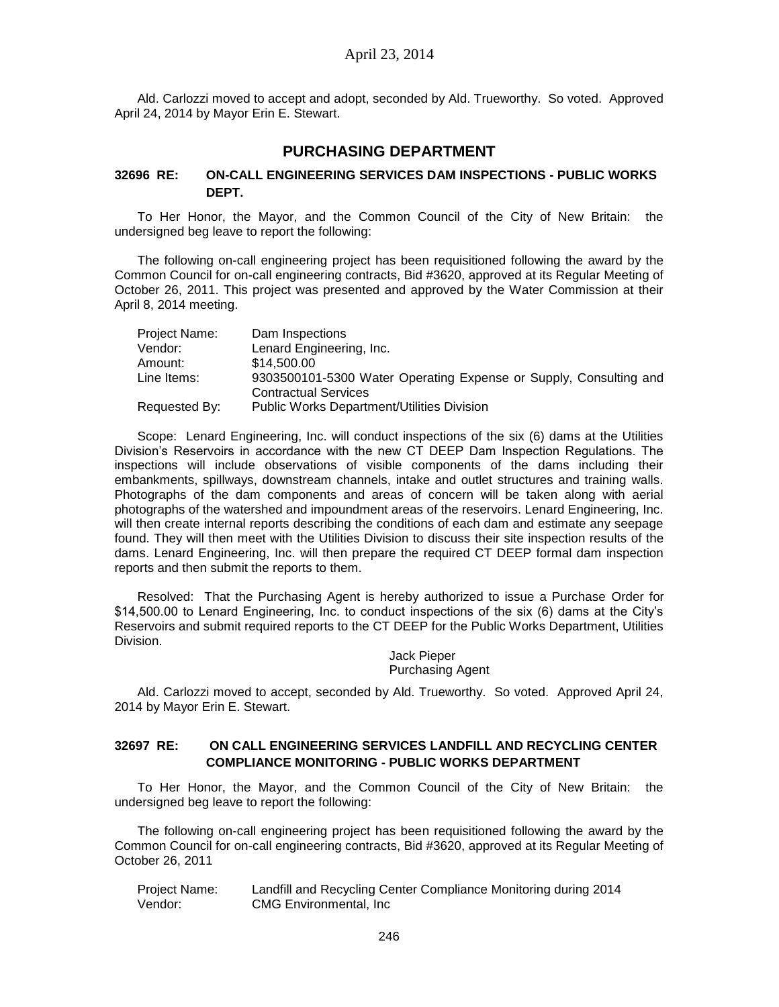Ald. Carlozzi moved to accept and adopt, seconded by Ald. Trueworthy. So voted. Approved April 24, 2014 by Mayor Erin E. Stewart.

# **PURCHASING DEPARTMENT**

#### **32696 RE: ON-CALL ENGINEERING SERVICES DAM INSPECTIONS - PUBLIC WORKS DEPT.**

To Her Honor, the Mayor, and the Common Council of the City of New Britain: the undersigned beg leave to report the following:

The following on-call engineering project has been requisitioned following the award by the Common Council for on-call engineering contracts, Bid #3620, approved at its Regular Meeting of October 26, 2011. This project was presented and approved by the Water Commission at their April 8, 2014 meeting.

| Project Name: | Dam Inspections                                                   |
|---------------|-------------------------------------------------------------------|
| Vendor:       | Lenard Engineering, Inc.                                          |
| Amount:       | \$14,500.00                                                       |
| Line Items:   | 9303500101-5300 Water Operating Expense or Supply, Consulting and |
|               | <b>Contractual Services</b>                                       |
| Requested By: | <b>Public Works Department/Utilities Division</b>                 |

Scope: Lenard Engineering, Inc. will conduct inspections of the six (6) dams at the Utilities Division's Reservoirs in accordance with the new CT DEEP Dam Inspection Regulations. The inspections will include observations of visible components of the dams including their embankments, spillways, downstream channels, intake and outlet structures and training walls. Photographs of the dam components and areas of concern will be taken along with aerial photographs of the watershed and impoundment areas of the reservoirs. Lenard Engineering, Inc. will then create internal reports describing the conditions of each dam and estimate any seepage found. They will then meet with the Utilities Division to discuss their site inspection results of the dams. Lenard Engineering, Inc. will then prepare the required CT DEEP formal dam inspection reports and then submit the reports to them.

Resolved: That the Purchasing Agent is hereby authorized to issue a Purchase Order for \$14,500.00 to Lenard Engineering, Inc. to conduct inspections of the six (6) dams at the City's Reservoirs and submit required reports to the CT DEEP for the Public Works Department, Utilities Division.

> Jack Pieper Purchasing Agent

Ald. Carlozzi moved to accept, seconded by Ald. Trueworthy. So voted. Approved April 24, 2014 by Mayor Erin E. Stewart.

## **32697 RE: ON CALL ENGINEERING SERVICES LANDFILL AND RECYCLING CENTER COMPLIANCE MONITORING - PUBLIC WORKS DEPARTMENT**

To Her Honor, the Mayor, and the Common Council of the City of New Britain: the undersigned beg leave to report the following:

The following on-call engineering project has been requisitioned following the award by the Common Council for on-call engineering contracts, Bid #3620, approved at its Regular Meeting of October 26, 2011

| Project Name: | Landfill and Recycling Center Compliance Monitoring during 2014 |
|---------------|-----------------------------------------------------------------|
| Vendor:       | CMG Environmental, Inc.                                         |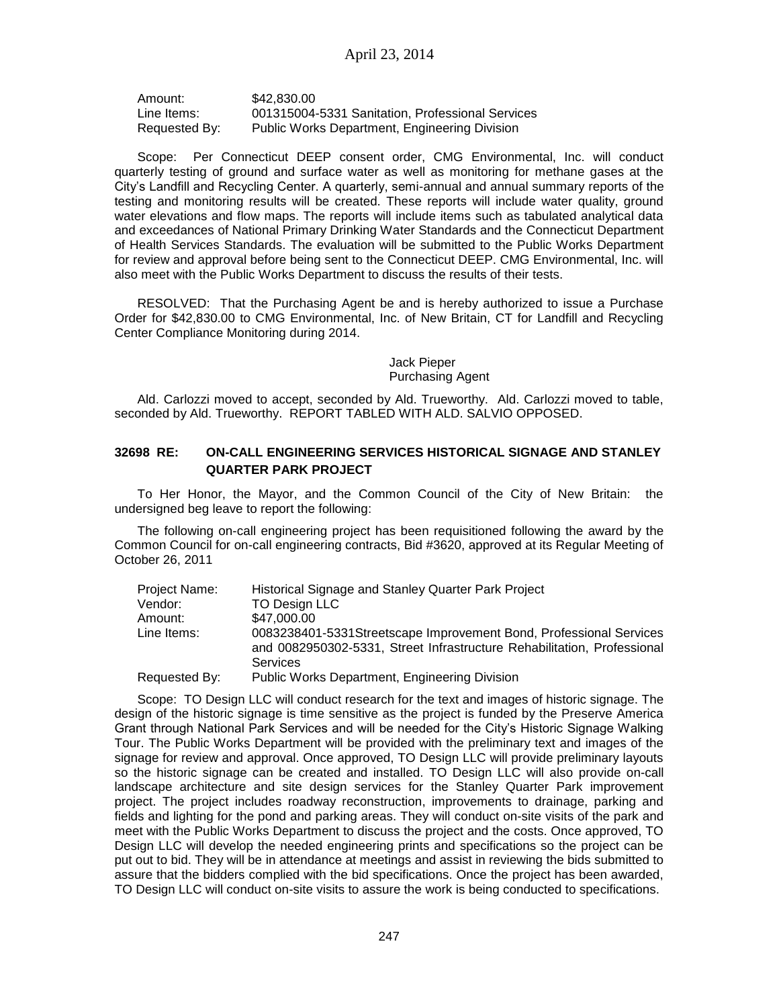Amount: \$42,830.00 Line Items: 001315004-5331 Sanitation, Professional Services Requested By: Public Works Department, Engineering Division

Scope: Per Connecticut DEEP consent order, CMG Environmental, Inc. will conduct quarterly testing of ground and surface water as well as monitoring for methane gases at the City's Landfill and Recycling Center. A quarterly, semi-annual and annual summary reports of the testing and monitoring results will be created. These reports will include water quality, ground water elevations and flow maps. The reports will include items such as tabulated analytical data and exceedances of National Primary Drinking Water Standards and the Connecticut Department of Health Services Standards. The evaluation will be submitted to the Public Works Department for review and approval before being sent to the Connecticut DEEP. CMG Environmental, Inc. will also meet with the Public Works Department to discuss the results of their tests.

RESOLVED: That the Purchasing Agent be and is hereby authorized to issue a Purchase Order for \$42,830.00 to CMG Environmental, Inc. of New Britain, CT for Landfill and Recycling Center Compliance Monitoring during 2014.

Jack Pieper

Purchasing Agent

Ald. Carlozzi moved to accept, seconded by Ald. Trueworthy. Ald. Carlozzi moved to table, seconded by Ald. Trueworthy. REPORT TABLED WITH ALD. SALVIO OPPOSED.

# **32698 RE: ON-CALL ENGINEERING SERVICES HISTORICAL SIGNAGE AND STANLEY QUARTER PARK PROJECT**

To Her Honor, the Mayor, and the Common Council of the City of New Britain: the undersigned beg leave to report the following:

The following on-call engineering project has been requisitioned following the award by the Common Council for on-call engineering contracts, Bid #3620, approved at its Regular Meeting of October 26, 2011

| Project Name: | Historical Signage and Stanley Quarter Park Project                                                                                            |
|---------------|------------------------------------------------------------------------------------------------------------------------------------------------|
| Vendor:       | TO Design LLC                                                                                                                                  |
| Amount:       | \$47,000.00                                                                                                                                    |
| Line Items:   | 0083238401-5331 Streetscape Improvement Bond, Professional Services<br>and 0082950302-5331, Street Infrastructure Rehabilitation, Professional |
|               | Services                                                                                                                                       |
| Requested By: | <b>Public Works Department, Engineering Division</b>                                                                                           |

Scope: TO Design LLC will conduct research for the text and images of historic signage. The design of the historic signage is time sensitive as the project is funded by the Preserve America Grant through National Park Services and will be needed for the City's Historic Signage Walking Tour. The Public Works Department will be provided with the preliminary text and images of the signage for review and approval. Once approved, TO Design LLC will provide preliminary layouts so the historic signage can be created and installed. TO Design LLC will also provide on-call landscape architecture and site design services for the Stanley Quarter Park improvement project. The project includes roadway reconstruction, improvements to drainage, parking and fields and lighting for the pond and parking areas. They will conduct on-site visits of the park and meet with the Public Works Department to discuss the project and the costs. Once approved, TO Design LLC will develop the needed engineering prints and specifications so the project can be put out to bid. They will be in attendance at meetings and assist in reviewing the bids submitted to assure that the bidders complied with the bid specifications. Once the project has been awarded, TO Design LLC will conduct on-site visits to assure the work is being conducted to specifications.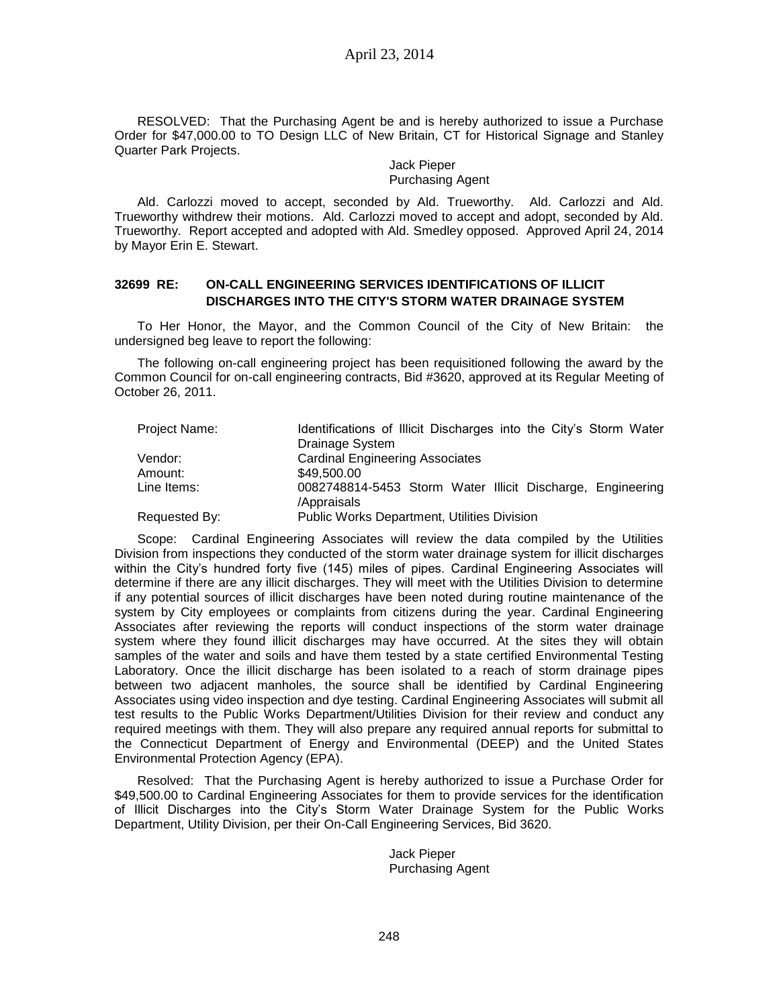RESOLVED: That the Purchasing Agent be and is hereby authorized to issue a Purchase Order for \$47,000.00 to TO Design LLC of New Britain, CT for Historical Signage and Stanley Quarter Park Projects.

> Jack Pieper Purchasing Agent

Ald. Carlozzi moved to accept, seconded by Ald. Trueworthy. Ald. Carlozzi and Ald. Trueworthy withdrew their motions. Ald. Carlozzi moved to accept and adopt, seconded by Ald. Trueworthy. Report accepted and adopted with Ald. Smedley opposed. Approved April 24, 2014 by Mayor Erin E. Stewart.

## **32699 RE: ON-CALL ENGINEERING SERVICES IDENTIFICATIONS OF ILLICIT DISCHARGES INTO THE CITY'S STORM WATER DRAINAGE SYSTEM**

To Her Honor, the Mayor, and the Common Council of the City of New Britain: the undersigned beg leave to report the following:

The following on-call engineering project has been requisitioned following the award by the Common Council for on-call engineering contracts, Bid #3620, approved at its Regular Meeting of October 26, 2011.

| Project Name: | Identifications of Illicit Discharges into the City's Storm Water         |
|---------------|---------------------------------------------------------------------------|
|               | Drainage System                                                           |
| Vendor:       | <b>Cardinal Engineering Associates</b>                                    |
| Amount:       | \$49,500,00                                                               |
| Line Items:   | 0082748814-5453 Storm Water Illicit Discharge, Engineering<br>/Appraisals |
| Requested By: | Public Works Department, Utilities Division                               |

Scope: Cardinal Engineering Associates will review the data compiled by the Utilities Division from inspections they conducted of the storm water drainage system for illicit discharges within the City's hundred forty five (145) miles of pipes. Cardinal Engineering Associates will determine if there are any illicit discharges. They will meet with the Utilities Division to determine if any potential sources of illicit discharges have been noted during routine maintenance of the system by City employees or complaints from citizens during the year. Cardinal Engineering Associates after reviewing the reports will conduct inspections of the storm water drainage system where they found illicit discharges may have occurred. At the sites they will obtain samples of the water and soils and have them tested by a state certified Environmental Testing Laboratory. Once the illicit discharge has been isolated to a reach of storm drainage pipes between two adjacent manholes, the source shall be identified by Cardinal Engineering Associates using video inspection and dye testing. Cardinal Engineering Associates will submit all test results to the Public Works Department/Utilities Division for their review and conduct any required meetings with them. They will also prepare any required annual reports for submittal to the Connecticut Department of Energy and Environmental (DEEP) and the United States Environmental Protection Agency (EPA).

Resolved: That the Purchasing Agent is hereby authorized to issue a Purchase Order for \$49,500.00 to Cardinal Engineering Associates for them to provide services for the identification of Illicit Discharges into the City's Storm Water Drainage System for the Public Works Department, Utility Division, per their On-Call Engineering Services, Bid 3620.

> Jack Pieper Purchasing Agent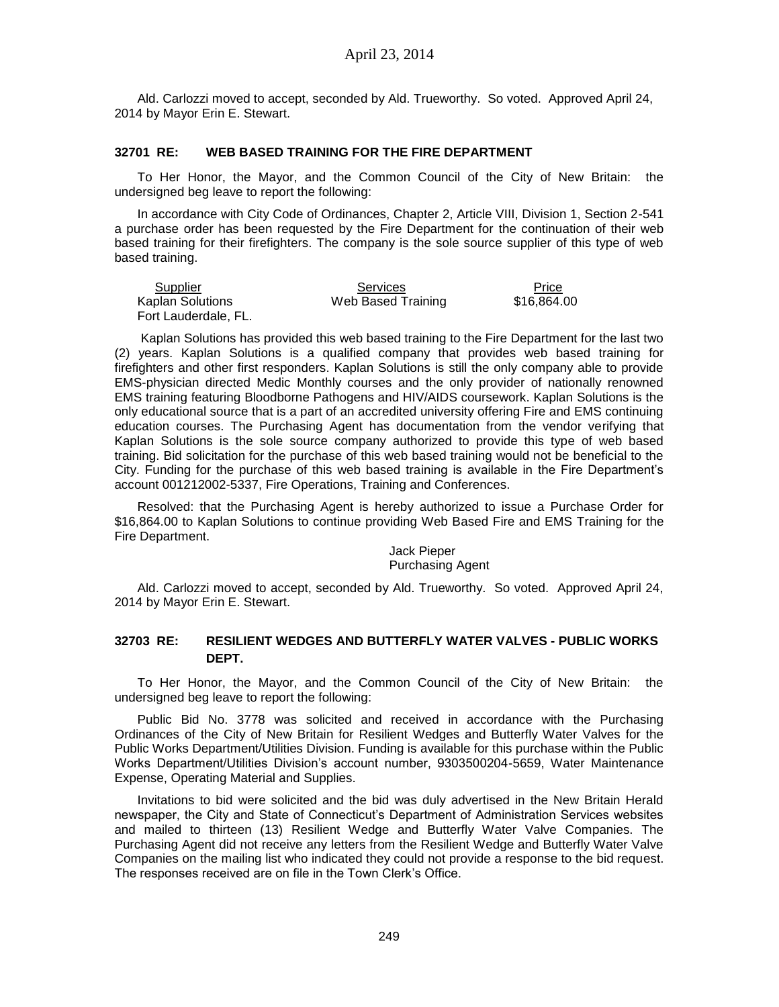Ald. Carlozzi moved to accept, seconded by Ald. Trueworthy. So voted. Approved April 24, 2014 by Mayor Erin E. Stewart.

#### **32701 RE: WEB BASED TRAINING FOR THE FIRE DEPARTMENT**

To Her Honor, the Mayor, and the Common Council of the City of New Britain: the undersigned beg leave to report the following:

In accordance with City Code of Ordinances, Chapter 2, Article VIII, Division 1, Section 2-541 a purchase order has been requested by the Fire Department for the continuation of their web based training for their firefighters. The company is the sole source supplier of this type of web based training.

| Supplier             | Services           | Price       |
|----------------------|--------------------|-------------|
| Kaplan Solutions     | Web Based Training | \$16,864.00 |
| Fort Lauderdale, FL. |                    |             |

Kaplan Solutions has provided this web based training to the Fire Department for the last two (2) years. Kaplan Solutions is a qualified company that provides web based training for firefighters and other first responders. Kaplan Solutions is still the only company able to provide EMS-physician directed Medic Monthly courses and the only provider of nationally renowned EMS training featuring Bloodborne Pathogens and HIV/AIDS coursework. Kaplan Solutions is the only educational source that is a part of an accredited university offering Fire and EMS continuing education courses. The Purchasing Agent has documentation from the vendor verifying that Kaplan Solutions is the sole source company authorized to provide this type of web based training. Bid solicitation for the purchase of this web based training would not be beneficial to the City. Funding for the purchase of this web based training is available in the Fire Department's account 001212002-5337, Fire Operations, Training and Conferences.

Resolved: that the Purchasing Agent is hereby authorized to issue a Purchase Order for \$16,864.00 to Kaplan Solutions to continue providing Web Based Fire and EMS Training for the Fire Department.

> Jack Pieper Purchasing Agent

Ald. Carlozzi moved to accept, seconded by Ald. Trueworthy. So voted. Approved April 24, 2014 by Mayor Erin E. Stewart.

#### **32703 RE: RESILIENT WEDGES AND BUTTERFLY WATER VALVES - PUBLIC WORKS DEPT.**

To Her Honor, the Mayor, and the Common Council of the City of New Britain: the undersigned beg leave to report the following:

Public Bid No. 3778 was solicited and received in accordance with the Purchasing Ordinances of the City of New Britain for Resilient Wedges and Butterfly Water Valves for the Public Works Department/Utilities Division. Funding is available for this purchase within the Public Works Department/Utilities Division's account number, 9303500204-5659, Water Maintenance Expense, Operating Material and Supplies.

Invitations to bid were solicited and the bid was duly advertised in the New Britain Herald newspaper, the City and State of Connecticut's Department of Administration Services websites and mailed to thirteen (13) Resilient Wedge and Butterfly Water Valve Companies. The Purchasing Agent did not receive any letters from the Resilient Wedge and Butterfly Water Valve Companies on the mailing list who indicated they could not provide a response to the bid request. The responses received are on file in the Town Clerk's Office.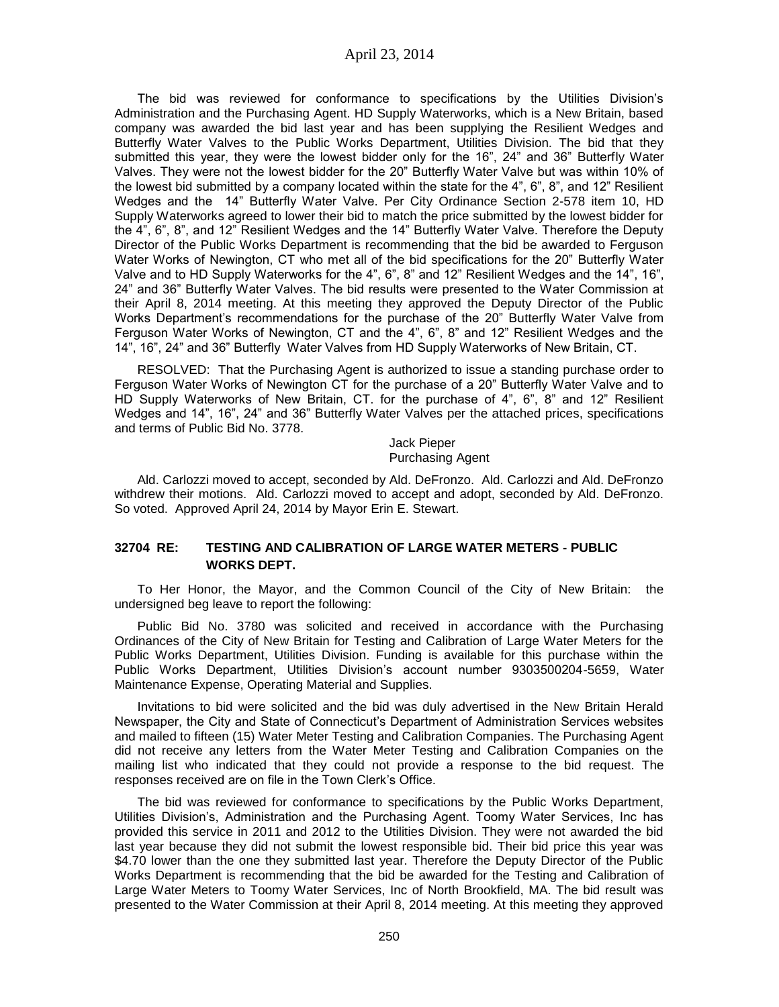The bid was reviewed for conformance to specifications by the Utilities Division's Administration and the Purchasing Agent. HD Supply Waterworks, which is a New Britain, based company was awarded the bid last year and has been supplying the Resilient Wedges and Butterfly Water Valves to the Public Works Department, Utilities Division. The bid that they submitted this year, they were the lowest bidder only for the 16", 24" and 36" Butterfly Water Valves. They were not the lowest bidder for the 20" Butterfly Water Valve but was within 10% of the lowest bid submitted by a company located within the state for the 4", 6", 8", and 12" Resilient Wedges and the 14" Butterfly Water Valve. Per City Ordinance Section 2-578 item 10, HD Supply Waterworks agreed to lower their bid to match the price submitted by the lowest bidder for the 4", 6", 8", and 12" Resilient Wedges and the 14" Butterfly Water Valve. Therefore the Deputy Director of the Public Works Department is recommending that the bid be awarded to Ferguson Water Works of Newington, CT who met all of the bid specifications for the 20" Butterfly Water Valve and to HD Supply Waterworks for the 4", 6", 8" and 12" Resilient Wedges and the 14", 16", 24" and 36" Butterfly Water Valves. The bid results were presented to the Water Commission at their April 8, 2014 meeting. At this meeting they approved the Deputy Director of the Public Works Department's recommendations for the purchase of the 20" Butterfly Water Valve from Ferguson Water Works of Newington, CT and the 4", 6", 8" and 12" Resilient Wedges and the 14", 16", 24" and 36" Butterfly Water Valves from HD Supply Waterworks of New Britain, CT.

RESOLVED: That the Purchasing Agent is authorized to issue a standing purchase order to Ferguson Water Works of Newington CT for the purchase of a 20" Butterfly Water Valve and to HD Supply Waterworks of New Britain, CT. for the purchase of 4", 6", 8" and 12" Resilient Wedges and 14", 16", 24" and 36" Butterfly Water Valves per the attached prices, specifications and terms of Public Bid No. 3778.

> Jack Pieper Purchasing Agent

Ald. Carlozzi moved to accept, seconded by Ald. DeFronzo. Ald. Carlozzi and Ald. DeFronzo withdrew their motions. Ald. Carlozzi moved to accept and adopt, seconded by Ald. DeFronzo. So voted. Approved April 24, 2014 by Mayor Erin E. Stewart.

## **32704 RE: TESTING AND CALIBRATION OF LARGE WATER METERS - PUBLIC WORKS DEPT.**

To Her Honor, the Mayor, and the Common Council of the City of New Britain: the undersigned beg leave to report the following:

Public Bid No. 3780 was solicited and received in accordance with the Purchasing Ordinances of the City of New Britain for Testing and Calibration of Large Water Meters for the Public Works Department, Utilities Division. Funding is available for this purchase within the Public Works Department, Utilities Division's account number 9303500204-5659, Water Maintenance Expense, Operating Material and Supplies.

Invitations to bid were solicited and the bid was duly advertised in the New Britain Herald Newspaper, the City and State of Connecticut's Department of Administration Services websites and mailed to fifteen (15) Water Meter Testing and Calibration Companies. The Purchasing Agent did not receive any letters from the Water Meter Testing and Calibration Companies on the mailing list who indicated that they could not provide a response to the bid request. The responses received are on file in the Town Clerk's Office.

The bid was reviewed for conformance to specifications by the Public Works Department, Utilities Division's, Administration and the Purchasing Agent. Toomy Water Services, Inc has provided this service in 2011 and 2012 to the Utilities Division. They were not awarded the bid last year because they did not submit the lowest responsible bid. Their bid price this year was \$4.70 lower than the one they submitted last year. Therefore the Deputy Director of the Public Works Department is recommending that the bid be awarded for the Testing and Calibration of Large Water Meters to Toomy Water Services, Inc of North Brookfield, MA. The bid result was presented to the Water Commission at their April 8, 2014 meeting. At this meeting they approved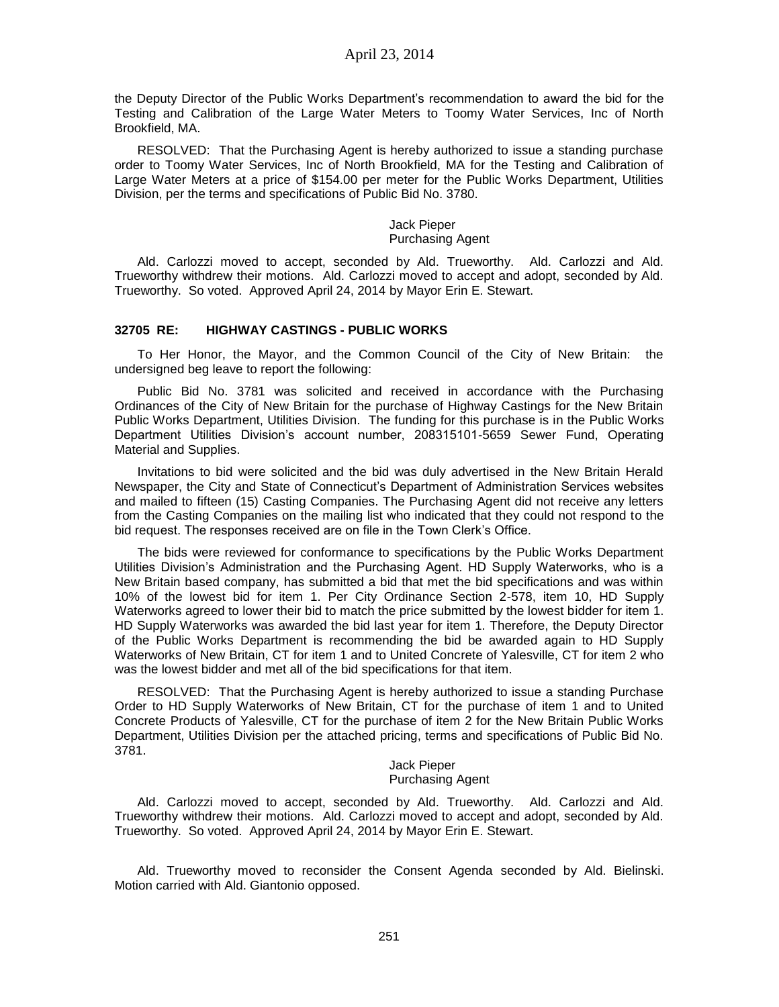the Deputy Director of the Public Works Department's recommendation to award the bid for the Testing and Calibration of the Large Water Meters to Toomy Water Services, Inc of North Brookfield, MA.

RESOLVED: That the Purchasing Agent is hereby authorized to issue a standing purchase order to Toomy Water Services, Inc of North Brookfield, MA for the Testing and Calibration of Large Water Meters at a price of \$154.00 per meter for the Public Works Department, Utilities Division, per the terms and specifications of Public Bid No. 3780.

# Jack Pieper

# Purchasing Agent

Ald. Carlozzi moved to accept, seconded by Ald. Trueworthy. Ald. Carlozzi and Ald. Trueworthy withdrew their motions. Ald. Carlozzi moved to accept and adopt, seconded by Ald. Trueworthy. So voted. Approved April 24, 2014 by Mayor Erin E. Stewart.

#### **32705 RE: HIGHWAY CASTINGS - PUBLIC WORKS**

To Her Honor, the Mayor, and the Common Council of the City of New Britain: the undersigned beg leave to report the following:

Public Bid No. 3781 was solicited and received in accordance with the Purchasing Ordinances of the City of New Britain for the purchase of Highway Castings for the New Britain Public Works Department, Utilities Division. The funding for this purchase is in the Public Works Department Utilities Division's account number, 208315101-5659 Sewer Fund, Operating Material and Supplies.

Invitations to bid were solicited and the bid was duly advertised in the New Britain Herald Newspaper, the City and State of Connecticut's Department of Administration Services websites and mailed to fifteen (15) Casting Companies. The Purchasing Agent did not receive any letters from the Casting Companies on the mailing list who indicated that they could not respond to the bid request. The responses received are on file in the Town Clerk's Office.

The bids were reviewed for conformance to specifications by the Public Works Department Utilities Division's Administration and the Purchasing Agent. HD Supply Waterworks, who is a New Britain based company, has submitted a bid that met the bid specifications and was within 10% of the lowest bid for item 1. Per City Ordinance Section 2-578, item 10, HD Supply Waterworks agreed to lower their bid to match the price submitted by the lowest bidder for item 1. HD Supply Waterworks was awarded the bid last year for item 1. Therefore, the Deputy Director of the Public Works Department is recommending the bid be awarded again to HD Supply Waterworks of New Britain, CT for item 1 and to United Concrete of Yalesville, CT for item 2 who was the lowest bidder and met all of the bid specifications for that item.

RESOLVED: That the Purchasing Agent is hereby authorized to issue a standing Purchase Order to HD Supply Waterworks of New Britain, CT for the purchase of item 1 and to United Concrete Products of Yalesville, CT for the purchase of item 2 for the New Britain Public Works Department, Utilities Division per the attached pricing, terms and specifications of Public Bid No. 3781.

#### Jack Pieper Purchasing Agent

Ald. Carlozzi moved to accept, seconded by Ald. Trueworthy. Ald. Carlozzi and Ald. Trueworthy withdrew their motions. Ald. Carlozzi moved to accept and adopt, seconded by Ald. Trueworthy. So voted. Approved April 24, 2014 by Mayor Erin E. Stewart.

Ald. Trueworthy moved to reconsider the Consent Agenda seconded by Ald. Bielinski. Motion carried with Ald. Giantonio opposed.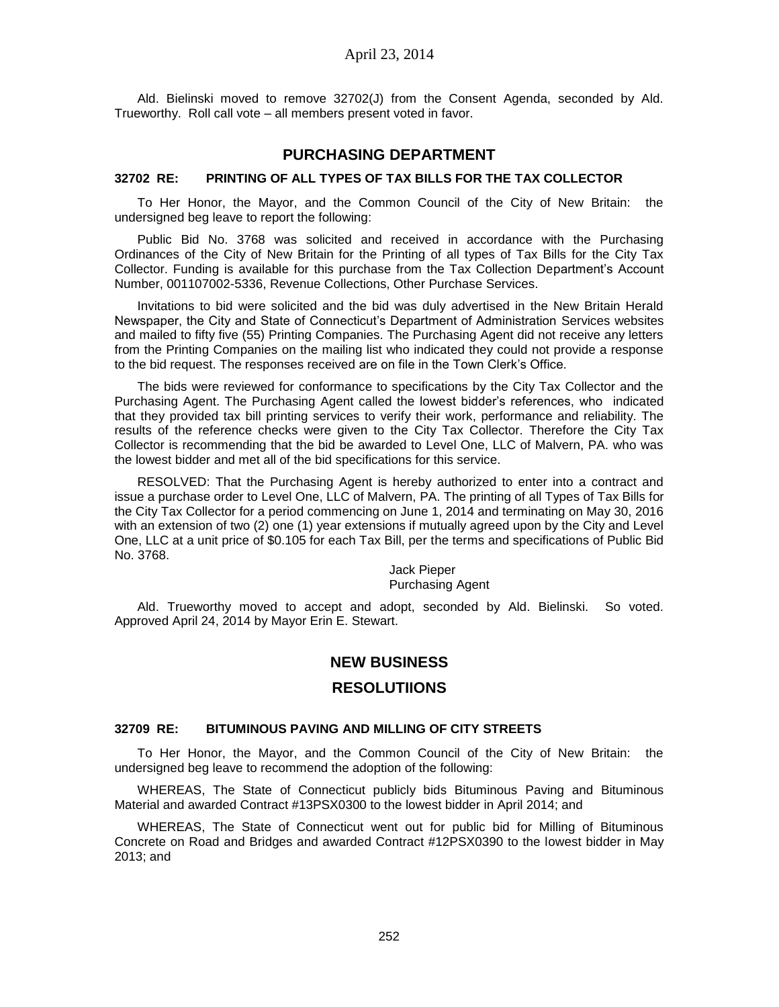Ald. Bielinski moved to remove 32702(J) from the Consent Agenda, seconded by Ald. Trueworthy. Roll call vote – all members present voted in favor.

# **PURCHASING DEPARTMENT**

#### **32702 RE: PRINTING OF ALL TYPES OF TAX BILLS FOR THE TAX COLLECTOR**

To Her Honor, the Mayor, and the Common Council of the City of New Britain: the undersigned beg leave to report the following:

Public Bid No. 3768 was solicited and received in accordance with the Purchasing Ordinances of the City of New Britain for the Printing of all types of Tax Bills for the City Tax Collector. Funding is available for this purchase from the Tax Collection Department's Account Number, 001107002-5336, Revenue Collections, Other Purchase Services.

Invitations to bid were solicited and the bid was duly advertised in the New Britain Herald Newspaper, the City and State of Connecticut's Department of Administration Services websites and mailed to fifty five (55) Printing Companies. The Purchasing Agent did not receive any letters from the Printing Companies on the mailing list who indicated they could not provide a response to the bid request. The responses received are on file in the Town Clerk's Office.

The bids were reviewed for conformance to specifications by the City Tax Collector and the Purchasing Agent. The Purchasing Agent called the lowest bidder's references, who indicated that they provided tax bill printing services to verify their work, performance and reliability. The results of the reference checks were given to the City Tax Collector. Therefore the City Tax Collector is recommending that the bid be awarded to Level One, LLC of Malvern, PA. who was the lowest bidder and met all of the bid specifications for this service.

RESOLVED: That the Purchasing Agent is hereby authorized to enter into a contract and issue a purchase order to Level One, LLC of Malvern, PA. The printing of all Types of Tax Bills for the City Tax Collector for a period commencing on June 1, 2014 and terminating on May 30, 2016 with an extension of two (2) one (1) year extensions if mutually agreed upon by the City and Level One, LLC at a unit price of \$0.105 for each Tax Bill, per the terms and specifications of Public Bid No. 3768.

> Jack Pieper Purchasing Agent

Ald. Trueworthy moved to accept and adopt, seconded by Ald. Bielinski. So voted. Approved April 24, 2014 by Mayor Erin E. Stewart.

#### **NEW BUSINESS**

#### **RESOLUTIIONS**

#### **32709 RE: BITUMINOUS PAVING AND MILLING OF CITY STREETS**

To Her Honor, the Mayor, and the Common Council of the City of New Britain: the undersigned beg leave to recommend the adoption of the following:

WHEREAS, The State of Connecticut publicly bids Bituminous Paving and Bituminous Material and awarded Contract #13PSX0300 to the lowest bidder in April 2014; and

WHEREAS, The State of Connecticut went out for public bid for Milling of Bituminous Concrete on Road and Bridges and awarded Contract #12PSX0390 to the lowest bidder in May 2013; and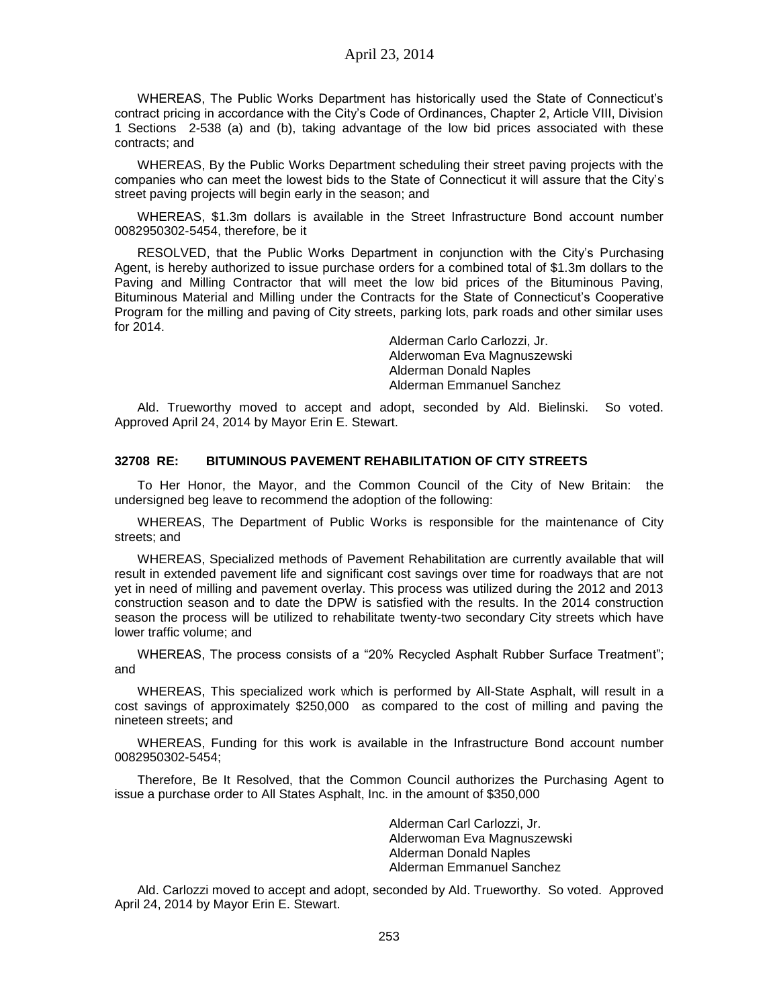WHEREAS, The Public Works Department has historically used the State of Connecticut's contract pricing in accordance with the City's Code of Ordinances, Chapter 2, Article VIII, Division 1 Sections 2-538 (a) and (b), taking advantage of the low bid prices associated with these contracts; and

WHEREAS, By the Public Works Department scheduling their street paving projects with the companies who can meet the lowest bids to the State of Connecticut it will assure that the City's street paving projects will begin early in the season; and

WHEREAS, \$1.3m dollars is available in the Street Infrastructure Bond account number 0082950302-5454, therefore, be it

RESOLVED, that the Public Works Department in conjunction with the City's Purchasing Agent, is hereby authorized to issue purchase orders for a combined total of \$1.3m dollars to the Paving and Milling Contractor that will meet the low bid prices of the Bituminous Paving, Bituminous Material and Milling under the Contracts for the State of Connecticut's Cooperative Program for the milling and paving of City streets, parking lots, park roads and other similar uses for 2014.

> Alderman Carlo Carlozzi, Jr. Alderwoman Eva Magnuszewski Alderman Donald Naples Alderman Emmanuel Sanchez

Ald. Trueworthy moved to accept and adopt, seconded by Ald. Bielinski. So voted. Approved April 24, 2014 by Mayor Erin E. Stewart.

## **32708 RE: BITUMINOUS PAVEMENT REHABILITATION OF CITY STREETS**

To Her Honor, the Mayor, and the Common Council of the City of New Britain: the undersigned beg leave to recommend the adoption of the following:

WHEREAS, The Department of Public Works is responsible for the maintenance of City streets; and

WHEREAS, Specialized methods of Pavement Rehabilitation are currently available that will result in extended pavement life and significant cost savings over time for roadways that are not yet in need of milling and pavement overlay. This process was utilized during the 2012 and 2013 construction season and to date the DPW is satisfied with the results. In the 2014 construction season the process will be utilized to rehabilitate twenty-two secondary City streets which have lower traffic volume; and

WHEREAS, The process consists of a "20% Recycled Asphalt Rubber Surface Treatment"; and

WHEREAS, This specialized work which is performed by All-State Asphalt, will result in a cost savings of approximately \$250,000 as compared to the cost of milling and paving the nineteen streets; and

WHEREAS, Funding for this work is available in the Infrastructure Bond account number 0082950302-5454;

Therefore, Be It Resolved, that the Common Council authorizes the Purchasing Agent to issue a purchase order to All States Asphalt, Inc. in the amount of \$350,000

> Alderman Carl Carlozzi, Jr. Alderwoman Eva Magnuszewski Alderman Donald Naples Alderman Emmanuel Sanchez

Ald. Carlozzi moved to accept and adopt, seconded by Ald. Trueworthy. So voted. Approved April 24, 2014 by Mayor Erin E. Stewart.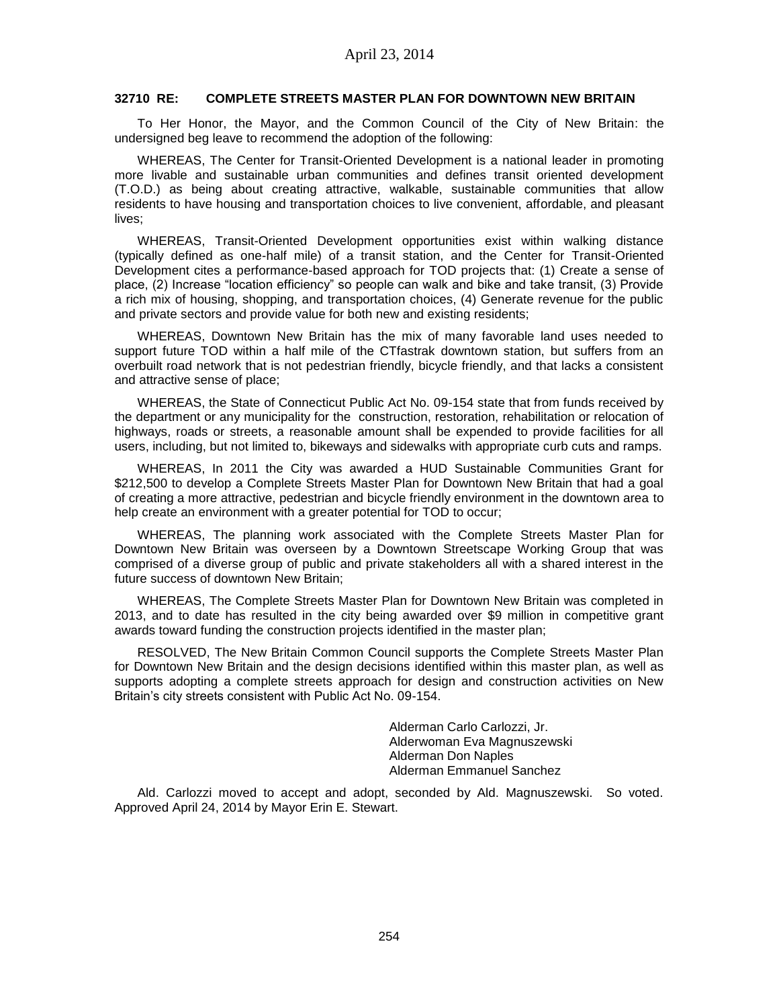#### **32710 RE: COMPLETE STREETS MASTER PLAN FOR DOWNTOWN NEW BRITAIN**

To Her Honor, the Mayor, and the Common Council of the City of New Britain: the undersigned beg leave to recommend the adoption of the following:

WHEREAS, The Center for Transit-Oriented Development is a national leader in promoting more livable and sustainable urban communities and defines transit oriented development (T.O.D.) as being about creating attractive, walkable, sustainable communities that allow residents to have housing and transportation choices to live convenient, affordable, and pleasant lives;

WHEREAS, Transit-Oriented Development opportunities exist within walking distance (typically defined as one-half mile) of a transit station, and the Center for Transit-Oriented Development cites a performance-based approach for TOD projects that: (1) Create a sense of place, (2) Increase "location efficiency" so people can walk and bike and take transit, (3) Provide a rich mix of housing, shopping, and transportation choices, (4) Generate revenue for the public and private sectors and provide value for both new and existing residents;

WHEREAS, Downtown New Britain has the mix of many favorable land uses needed to support future TOD within a half mile of the CTfastrak downtown station, but suffers from an overbuilt road network that is not pedestrian friendly, bicycle friendly, and that lacks a consistent and attractive sense of place;

WHEREAS, the State of Connecticut Public Act No. 09-154 state that from funds received by the department or any municipality for the construction, restoration, rehabilitation or relocation of highways, roads or streets, a reasonable amount shall be expended to provide facilities for all users, including, but not limited to, bikeways and sidewalks with appropriate curb cuts and ramps.

WHEREAS, In 2011 the City was awarded a HUD Sustainable Communities Grant for \$212,500 to develop a Complete Streets Master Plan for Downtown New Britain that had a goal of creating a more attractive, pedestrian and bicycle friendly environment in the downtown area to help create an environment with a greater potential for TOD to occur;

WHEREAS, The planning work associated with the Complete Streets Master Plan for Downtown New Britain was overseen by a Downtown Streetscape Working Group that was comprised of a diverse group of public and private stakeholders all with a shared interest in the future success of downtown New Britain;

WHEREAS, The Complete Streets Master Plan for Downtown New Britain was completed in 2013, and to date has resulted in the city being awarded over \$9 million in competitive grant awards toward funding the construction projects identified in the master plan;

RESOLVED, The New Britain Common Council supports the Complete Streets Master Plan for Downtown New Britain and the design decisions identified within this master plan, as well as supports adopting a complete streets approach for design and construction activities on New Britain's city streets consistent with Public Act No. 09-154.

> Alderman Carlo Carlozzi, Jr. Alderwoman Eva Magnuszewski Alderman Don Naples Alderman Emmanuel Sanchez

Ald. Carlozzi moved to accept and adopt, seconded by Ald. Magnuszewski. So voted. Approved April 24, 2014 by Mayor Erin E. Stewart.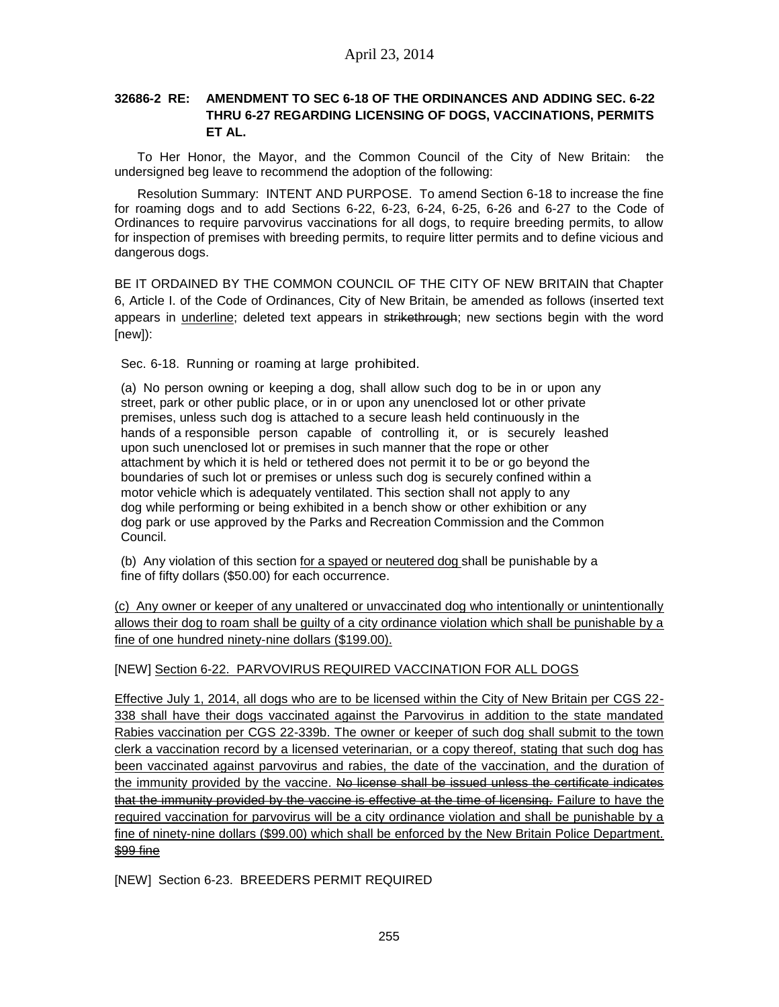# **32686-2 RE: AMENDMENT TO SEC 6-18 OF THE ORDINANCES AND ADDING SEC. 6-22 THRU 6-27 REGARDING LICENSING OF DOGS, VACCINATIONS, PERMITS ET AL.**

To Her Honor, the Mayor, and the Common Council of the City of New Britain: the undersigned beg leave to recommend the adoption of the following:

Resolution Summary: INTENT AND PURPOSE. To amend Section 6-18 to increase the fine for roaming dogs and to add Sections 6-22, 6-23, 6-24, 6-25, 6-26 and 6-27 to the Code of Ordinances to require parvovirus vaccinations for all dogs, to require breeding permits, to allow for inspection of premises with breeding permits, to require litter permits and to define vicious and dangerous dogs.

BE IT ORDAINED BY THE COMMON COUNCIL OF THE CITY OF NEW BRITAIN that Chapter 6, Article I. of the Code of Ordinances, City of New Britain, be amended as follows (inserted text appears in underline; deleted text appears in strikethrough; new sections begin with the word [new]):

Sec. 6-18. Running or roaming at large prohibited.

(a) No person owning or keeping a dog, shall allow such dog to be in or upon any street, park or other public place, or in or upon any unenclosed lot or other private premises, unless such dog is attached to a secure leash held continuously in the hands of a responsible person capable of controlling it, or is securely leashed upon such unenclosed lot or premises in such manner that the rope or other attachment by which it is held or tethered does not permit it to be or go beyond the boundaries of such lot or premises or unless such dog is securely confined within a motor vehicle which is adequately ventilated. This section shall not apply to any dog while performing or being exhibited in a bench show or other exhibition or any dog park or use approved by the Parks and Recreation Commission and the Common Council.

(b) Any violation of this section for a spayed or neutered dog shall be punishable by a fine of fifty dollars (\$50.00) for each occurrence.

(c) Any owner or keeper of any unaltered or unvaccinated dog who intentionally or unintentionally allows their dog to roam shall be guilty of a city ordinance violation which shall be punishable by a fine of one hundred ninety-nine dollars (\$199.00).

[NEW] Section 6-22. PARVOVIRUS REQUIRED VACCINATION FOR ALL DOGS

Effective July 1, 2014, all dogs who are to be licensed within the City of New Britain per CGS 22- 338 shall have their dogs vaccinated against the Parvovirus in addition to the state mandated Rabies vaccination per CGS 22-339b. The owner or keeper of such dog shall submit to the town clerk a vaccination record by a licensed veterinarian, or a copy thereof, stating that such dog has been vaccinated against parvovirus and rabies, the date of the vaccination, and the duration of the immunity provided by the vaccine. No license shall be issued unless the certificate indicates that the immunity provided by the vaccine is effective at the time of licensing. Failure to have the required vaccination for parvovirus will be a city ordinance violation and shall be punishable by a fine of ninety-nine dollars (\$99.00) which shall be enforced by the New Britain Police Department. \$99 fine

[NEW] Section 6-23. BREEDERS PERMIT REQUIRED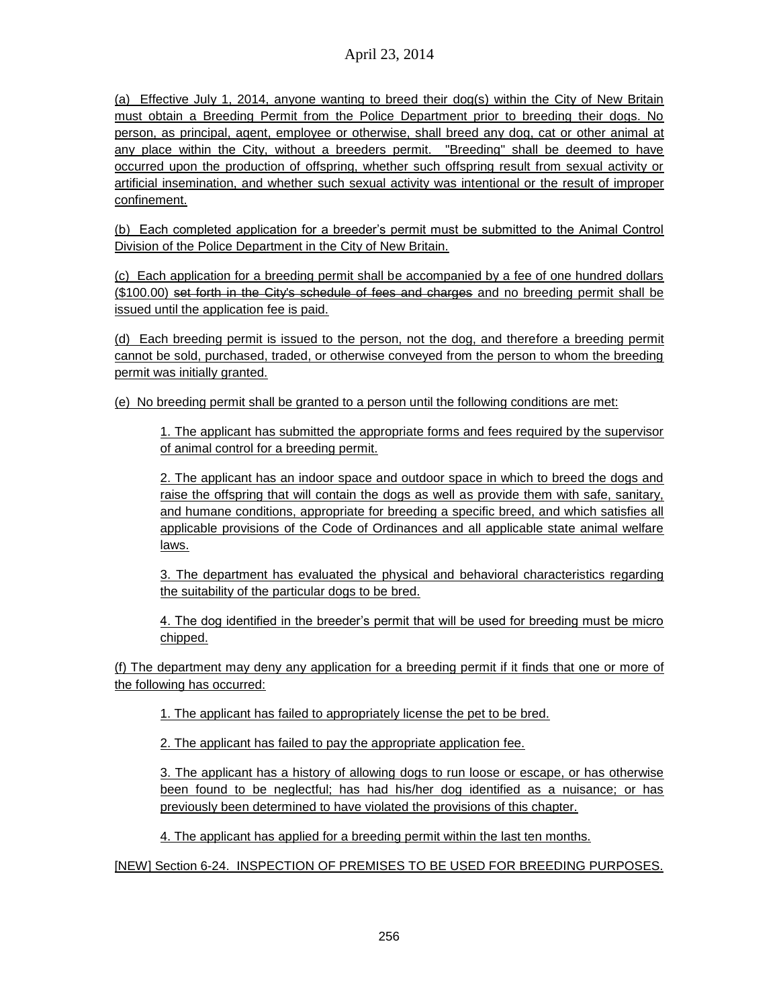(a) Effective July 1, 2014, anyone wanting to breed their dog(s) within the City of New Britain must obtain a Breeding Permit from the Police Department prior to breeding their dogs. No person, as principal, agent, employee or otherwise, shall breed any dog, cat or other animal at any place within the City, without a breeders permit. "Breeding" shall be deemed to have occurred upon the production of offspring, whether such offspring result from sexual activity or artificial insemination, and whether such sexual activity was intentional or the result of improper confinement.

(b) Each completed application for a breeder's permit must be submitted to the Animal Control Division of the Police Department in the City of New Britain.

(c) Each application for a breeding permit shall be accompanied by a fee of one hundred dollars (\$100.00) set forth in the City's schedule of fees and charges and no breeding permit shall be issued until the application fee is paid.

(d) Each breeding permit is issued to the person, not the dog, and therefore a breeding permit cannot be sold, purchased, traded, or otherwise conveyed from the person to whom the breeding permit was initially granted.

(e) No breeding permit shall be granted to a person until the following conditions are met:

1. The applicant has submitted the appropriate forms and fees required by the supervisor of animal control for a breeding permit.

2. The applicant has an indoor space and outdoor space in which to breed the dogs and raise the offspring that will contain the dogs as well as provide them with safe, sanitary, and humane conditions, appropriate for breeding a specific breed, and which satisfies all applicable provisions of the Code of Ordinances and all applicable state animal welfare laws.

3. The department has evaluated the physical and behavioral characteristics regarding the suitability of the particular dogs to be bred.

4. The dog identified in the breeder's permit that will be used for breeding must be micro chipped.

(f) The department may deny any application for a breeding permit if it finds that one or more of the following has occurred:

1. The applicant has failed to appropriately license the pet to be bred.

2. The applicant has failed to pay the appropriate application fee.

3. The applicant has a history of allowing dogs to run loose or escape, or has otherwise been found to be neglectful; has had his/her dog identified as a nuisance; or has previously been determined to have violated the provisions of this chapter.

4. The applicant has applied for a breeding permit within the last ten months.

[NEW] Section 6-24. INSPECTION OF PREMISES TO BE USED FOR BREEDING PURPOSES.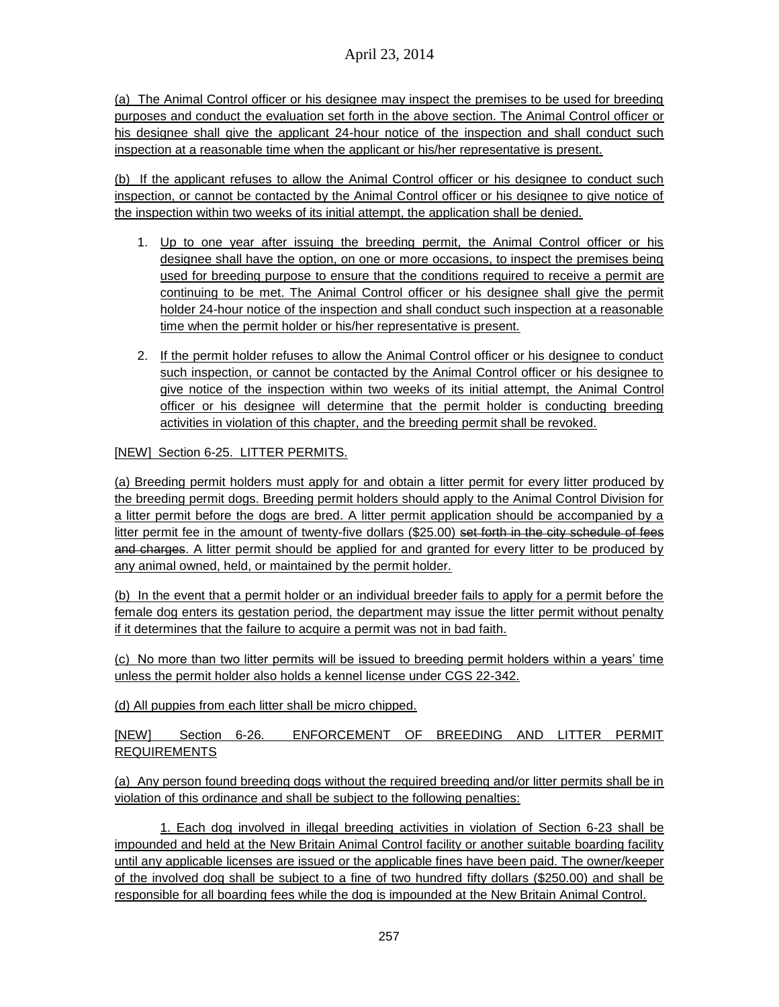(a) The Animal Control officer or his designee may inspect the premises to be used for breeding purposes and conduct the evaluation set forth in the above section. The Animal Control officer or his designee shall give the applicant 24-hour notice of the inspection and shall conduct such inspection at a reasonable time when the applicant or his/her representative is present.

(b) If the applicant refuses to allow the Animal Control officer or his designee to conduct such inspection, or cannot be contacted by the Animal Control officer or his designee to give notice of the inspection within two weeks of its initial attempt, the application shall be denied.

- 1. Up to one year after issuing the breeding permit, the Animal Control officer or his designee shall have the option, on one or more occasions, to inspect the premises being used for breeding purpose to ensure that the conditions required to receive a permit are continuing to be met. The Animal Control officer or his designee shall give the permit holder 24-hour notice of the inspection and shall conduct such inspection at a reasonable time when the permit holder or his/her representative is present.
- 2. If the permit holder refuses to allow the Animal Control officer or his designee to conduct such inspection, or cannot be contacted by the Animal Control officer or his designee to give notice of the inspection within two weeks of its initial attempt, the Animal Control officer or his designee will determine that the permit holder is conducting breeding activities in violation of this chapter, and the breeding permit shall be revoked.

# [NEW] Section 6-25. LITTER PERMITS.

(a) Breeding permit holders must apply for and obtain a litter permit for every litter produced by the breeding permit dogs. Breeding permit holders should apply to the Animal Control Division for a litter permit before the dogs are bred. A litter permit application should be accompanied by a litter permit fee in the amount of twenty-five dollars (\$25.00) set forth in the city schedule of fees and charges. A litter permit should be applied for and granted for every litter to be produced by any animal owned, held, or maintained by the permit holder.

(b) In the event that a permit holder or an individual breeder fails to apply for a permit before the female dog enters its gestation period, the department may issue the litter permit without penalty if it determines that the failure to acquire a permit was not in bad faith.

(c) No more than two litter permits will be issued to breeding permit holders within a years' time unless the permit holder also holds a kennel license under CGS 22-342.

(d) All puppies from each litter shall be micro chipped.

[NEW] Section 6-26. ENFORCEMENT OF BREEDING AND LITTER PERMIT REQUIREMENTS

(a) Any person found breeding dogs without the required breeding and/or litter permits shall be in violation of this ordinance and shall be subject to the following penalties:

1. Each dog involved in illegal breeding activities in violation of Section 6-23 shall be impounded and held at the New Britain Animal Control facility or another suitable boarding facility until any applicable licenses are issued or the applicable fines have been paid. The owner/keeper of the involved dog shall be subject to a fine of two hundred fifty dollars (\$250.00) and shall be responsible for all boarding fees while the dog is impounded at the New Britain Animal Control.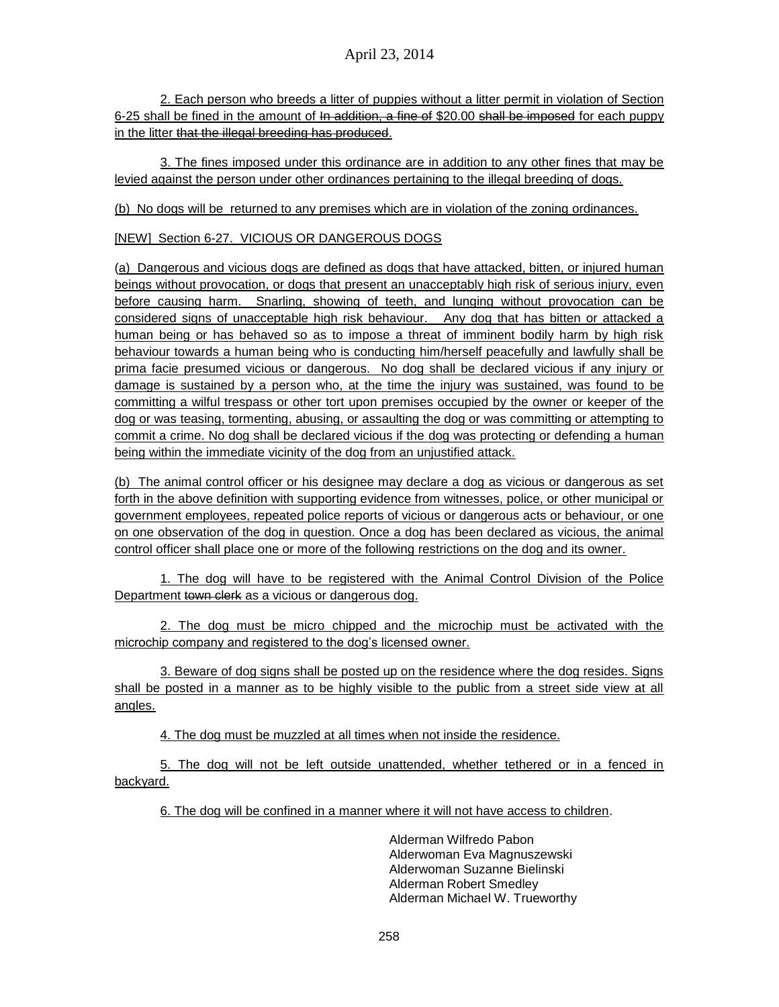2. Each person who breeds a litter of puppies without a litter permit in violation of Section 6-25 shall be fined in the amount of In addition, a fine of \$20.00 shall be imposed for each puppy in the litter that the illegal breeding has produced.

3. The fines imposed under this ordinance are in addition to any other fines that may be levied against the person under other ordinances pertaining to the illegal breeding of dogs.

(b) No dogs will be returned to any premises which are in violation of the zoning ordinances.

[NEW] Section 6-27. VICIOUS OR DANGEROUS DOGS

(a) Dangerous and vicious dogs are defined as dogs that have attacked, bitten, or injured human beings without provocation, or dogs that present an unacceptably high risk of serious injury, even before causing harm. Snarling, showing of teeth, and lunging without provocation can be considered signs of unacceptable high risk behaviour. Any dog that has bitten or attacked a human being or has behaved so as to impose a threat of imminent bodily harm by high risk behaviour towards a human being who is conducting him/herself peacefully and lawfully shall be prima facie presumed vicious or dangerous. No dog shall be declared vicious if any injury or damage is sustained by a person who, at the time the injury was sustained, was found to be committing a wilful trespass or other tort upon premises occupied by the owner or keeper of the dog or was teasing, tormenting, abusing, or assaulting the dog or was committing or attempting to commit a crime. No dog shall be declared vicious if the dog was protecting or defending a human being within the immediate vicinity of the dog from an unjustified attack.

(b) The animal control officer or his designee may declare a dog as vicious or dangerous as set forth in the above definition with supporting evidence from witnesses, police, or other municipal or government employees, repeated police reports of vicious or dangerous acts or behaviour, or one on one observation of the dog in question. Once a dog has been declared as vicious, the animal control officer shall place one or more of the following restrictions on the dog and its owner.

1. The dog will have to be registered with the Animal Control Division of the Police Department town clerk as a vicious or dangerous dog.

2. The dog must be micro chipped and the microchip must be activated with the microchip company and registered to the dog's licensed owner.

3. Beware of dog signs shall be posted up on the residence where the dog resides. Signs shall be posted in a manner as to be highly visible to the public from a street side view at all angles.

4. The dog must be muzzled at all times when not inside the residence.

5. The dog will not be left outside unattended, whether tethered or in a fenced in backyard.

6. The dog will be confined in a manner where it will not have access to children.

Alderman Wilfredo Pabon Alderwoman Eva Magnuszewski Alderwoman Suzanne Bielinski Alderman Robert Smedley Alderman Michael W. Trueworthy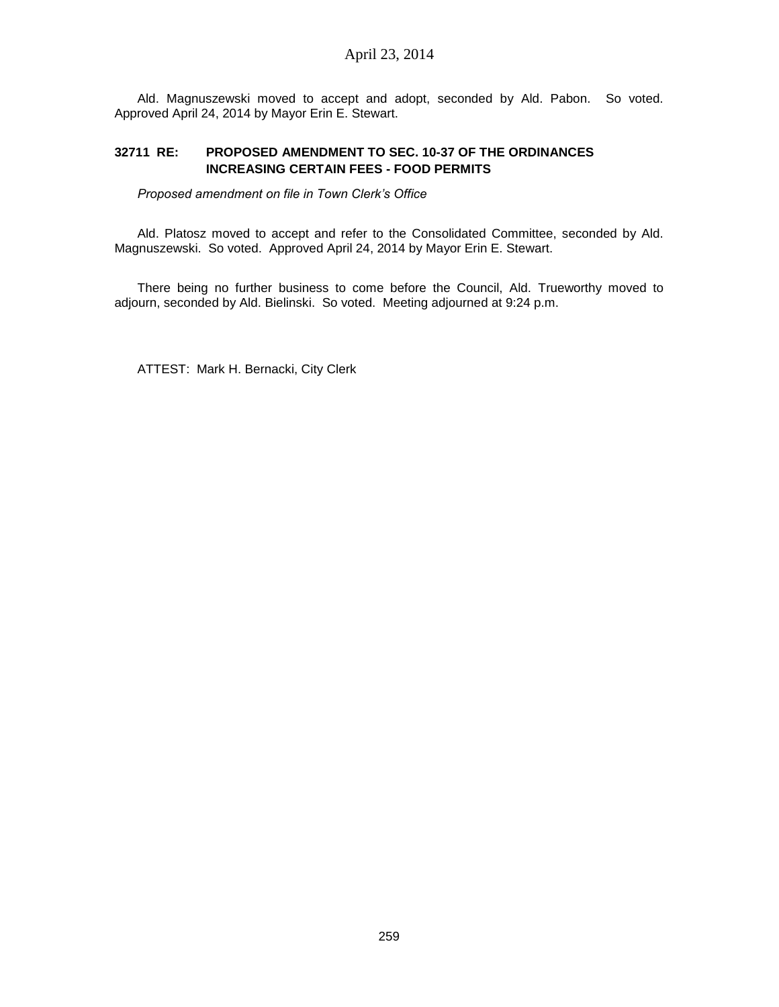Ald. Magnuszewski moved to accept and adopt, seconded by Ald. Pabon. So voted. Approved April 24, 2014 by Mayor Erin E. Stewart.

## **32711 RE: PROPOSED AMENDMENT TO SEC. 10-37 OF THE ORDINANCES INCREASING CERTAIN FEES - FOOD PERMITS**

*Proposed amendment on file in Town Clerk's Office*

Ald. Platosz moved to accept and refer to the Consolidated Committee, seconded by Ald. Magnuszewski. So voted. Approved April 24, 2014 by Mayor Erin E. Stewart.

There being no further business to come before the Council, Ald. Trueworthy moved to adjourn, seconded by Ald. Bielinski. So voted. Meeting adjourned at 9:24 p.m.

ATTEST: Mark H. Bernacki, City Clerk